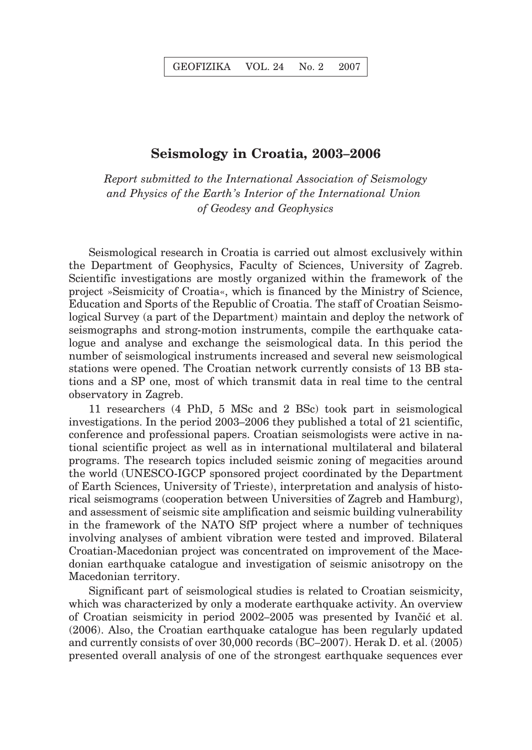## **Seismology in Croatia, 2003–2006**

*Report submitted to the International Association of Seismology and Physics of the Earth's Interior of the International Union of Geodesy and Geophysics*

Seismological research in Croatia is carried out almost exclusively within the Department of Geophysics, Faculty of Sciences, University of Zagreb. Scientific investigations are mostly organized within the framework of the project »Seismicity of Croatia«, which is financed by the Ministry of Science, Education and Sports of the Republic of Croatia. The staff of Croatian Seismological Survey (a part of the Department) maintain and deploy the network of seismographs and strong-motion instruments, compile the earthquake catalogue and analyse and exchange the seismological data. In this period the number of seismological instruments increased and several new seismological stations were opened. The Croatian network currently consists of 13 BB stations and a SP one, most of which transmit data in real time to the central observatory in Zagreb.

11 researchers (4 PhD, 5 MSc and 2 BSc) took part in seismological investigations. In the period 2003–2006 they published a total of 21 scientific, conference and professional papers. Croatian seismologists were active in national scientific project as well as in international multilateral and bilateral programs. The research topics included seismic zoning of megacities around the world (UNESCO-IGCP sponsored project coordinated by the Department of Earth Sciences, University of Trieste), interpretation and analysis of historical seismograms (cooperation between Universities of Zagreb and Hamburg), and assessment of seismic site amplification and seismic building vulnerability in the framework of the NATO SfP project where a number of techniques involving analyses of ambient vibration were tested and improved. Bilateral Croatian-Macedonian project was concentrated on improvement of the Macedonian earthquake catalogue and investigation of seismic anisotropy on the Macedonian territory.

Significant part of seismological studies is related to Croatian seismicity, which was characterized by only a moderate earthquake activity. An overview of Croatian seismicity in period 2002–2005 was presented by Ivančić et al. (2006). Also, the Croatian earthquake catalogue has been regularly updated and currently consists of over 30,000 records (BC–2007). Herak D. et al. (2005) presented overall analysis of one of the strongest earthquake sequences ever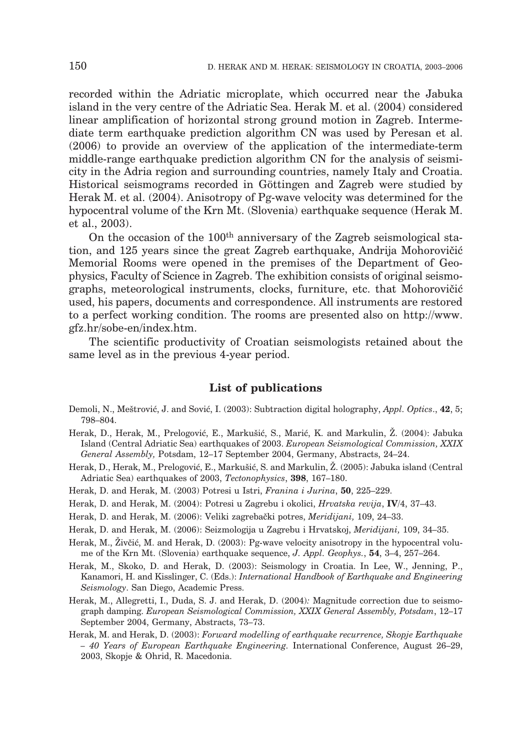recorded within the Adriatic microplate, which occurred near the Jabuka island in the very centre of the Adriatic Sea. Herak M. et al. (2004) considered linear amplification of horizontal strong ground motion in Zagreb. Intermediate term earthquake prediction algorithm CN was used by Peresan et al. (2006) to provide an overview of the application of the intermediate-term middle-range earthquake prediction algorithm CN for the analysis of seismicity in the Adria region and surrounding countries, namely Italy and Croatia. Historical seismograms recorded in Göttingen and Zagreb were studied by Herak M. et al. (2004). Anisotropy of Pg-wave velocity was determined for the hypocentral volume of the Krn Mt. (Slovenia) earthquake sequence (Herak M. et al., 2003).

On the occasion of the  $100<sup>th</sup>$  anniversary of the Zagreb seismological station, and 125 years since the great Zagreb earthquake, Andrija Mohorovičić Memorial Rooms were opened in the premises of the Department of Geophysics, Faculty of Science in Zagreb. The exhibition consists of original seismographs, meteorological instruments, clocks, furniture, etc. that Mohorovičić used, his papers, documents and correspondence. All instruments are restored to a perfect working condition. The rooms are presented also on http://www. gfz.hr/sobe-en/index.htm.

The scientific productivity of Croatian seismologists retained about the same level as in the previous 4-year period.

## **List of publications**

- Demoli, N., Meštrović, J. and Sović, I. (2003): Subtraction digital holography, *Appl. Optics*., **42**, 5; 798–804.
- Herak, D., Herak, M., Prelogović, E., Markušić, S., Marić, K. and Markulin, Ž. (2004): Jabuka Island (Central Adriatic Sea) earthquakes of 2003. *European Seismological Commission, XXIX General Assembly,* Potsdam, 12–17 September 2004, Germany, Abstracts, 24–24.
- Herak, D., Herak, M., Prelogović, E., Markušić, S. and Markulin, Ž. (2005): Jabuka island (Central Adriatic Sea) earthquakes of 2003, *Tectonophysics*, **398**, 167–180.
- Herak, D. and Herak, M. (2003) Potresi u Istri, *Franina i Jurina*, **50**, 225–229.
- Herak, D. and Herak, M. (2004): Potresi u Zagrebu i okolici, *Hrvatska revija*, **IV**/4, 37–43.
- Herak, D. and Herak, M. (2006): Veliki zagreba~ki potres, *Meridijani,* 109, 24–33.
- Herak, D. and Herak, M. (2006): Seizmologija u Zagrebu i Hrvatskoj, *Meridijani,* 109, 34–35.
- Herak, M., Živčić, M. and Herak, D. (2003): Pg-wave velocity anisotropy in the hypocentral volume of the Krn Mt. (Slovenia) earthquake sequence, *J. Appl. Geophys.*, **54**, 3–4, 257–264.
- Herak, M., Skoko, D. and Herak, D. (2003): Seismology in Croatia. In Lee, W., Jenning, P., Kanamori, H. and Kisslinger, C. (Eds.): *International Handbook of Earthquake and Engineering Seismology*. San Diego, Academic Press.
- Herak, M., Allegretti, I., Duda, S. J. and Herak, D. (2004)*:* Magnitude correction due to seismograph damping. *European Seismological Commission, XXIX General Assembly, Potsdam*, 12–17 September 2004, Germany, Abstracts, 73–73.
- Herak, M. and Herak, D. (2003): *Forward modelling of earthquake recurrence, Skopje Earthquake – 40 Years of European Earthquake Engineering.* International Conference, August 26–29, 2003, Skopje & Ohrid, R. Macedonia.